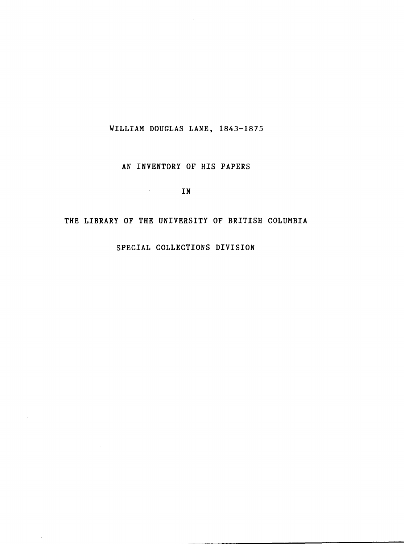## WILLIAM DOUGLAS LANE, 1843-1875

## AN INVENTORY OF HIS PAPERS

IN

### THE LIBRARY OF THE UNIVERSITY OF BRITISH COLUMBIA

SPECIAL COLLECTIONS DIVISION

 $\hat{\boldsymbol{\epsilon}}$ 

 $\mathcal{A}^{\prime}$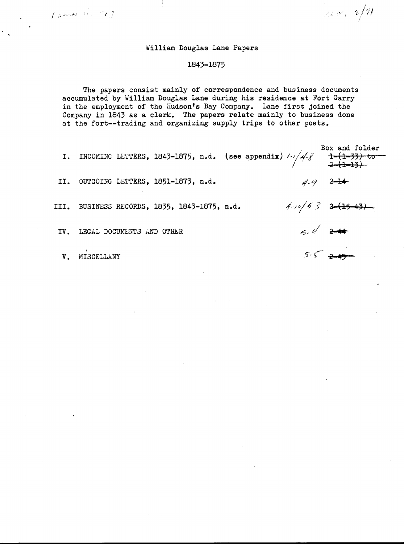#### William Douglas Lane Papers

#### 1843-1875

The papers consist mainly of correspondence and business documents accumulated by William Douglas Lane during his residence at Fort Garry in the employment of the Hudson's Bay Company. Lane first joined the Company in 1843 as a clerk. The papers relate mainly to business done at the fort--trading and organizing supply trips to other posts .

|     |                                              | I. INCOMING LETTERS, 1843-1875, n.d. (see appendix) $1/4.8$ 1- $(1-33)$ to |                     |
|-----|----------------------------------------------|----------------------------------------------------------------------------|---------------------|
|     | II. OUTGOING LETTERS, 1851-1873, n.d.        |                                                                            | $4 - 9$ $2 - 14$    |
|     | III. BUSINESS RECORDS, 1835, 1843-1875, n.d. |                                                                            | $4-10/53$ $2-15-13$ |
| IV. | LEGAL DOCUMENTS AND OTHER                    |                                                                            | $5.42 +$            |

V. MISCELLANY

Company

 $5.5 - 245$ 

 $\frac{1}{2}$  det  $\frac{1}{2}$  and  $\frac{1}{2}$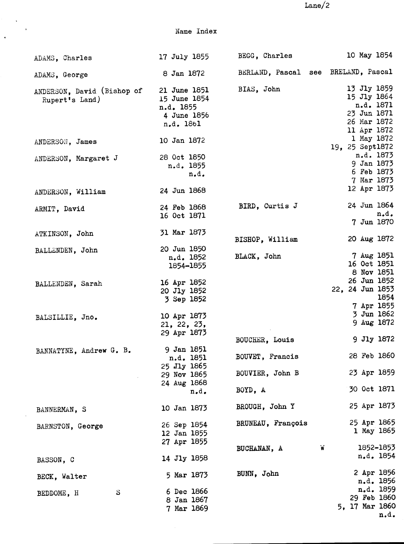$Lane/2$ 

Name Index

 $\langle \cdot, \cdot \rangle$ 

 $\hat{\mathcal{A}}$ 

| ADAMS, Charles                               | 17 July 1855                                                          | BEGG, Charles                       | 10 May 1854                                                                          |
|----------------------------------------------|-----------------------------------------------------------------------|-------------------------------------|--------------------------------------------------------------------------------------|
| ADAMS, George                                | 8 Jan 1872                                                            | BERLAND, Pascal see BRELAND, Pascal |                                                                                      |
| ANDERSON, David (Bishop of<br>Rupert's Land) | 21 June 1851<br>15 June 1854<br>n.d. 1855<br>4 June 1856<br>n.d. 1861 | BIAS, John                          | 13 Jly 1859<br>15 Jly 1864<br>n.d. 1871<br>23 Jun 1871<br>26 Mar 1872<br>11 Apr 1872 |
| ANDERSON, James                              | 10 Jan 1872                                                           |                                     | 1 May 1872<br>19, 25 Sept1872                                                        |
| ANDERSON, Margaret J                         | 28 Oct 1850<br>n.d. 1855<br>n.d.                                      |                                     | n.d. 1873<br>9 Jan 1873<br>6 Feb 1873<br>7 Mar 1873                                  |
| ANDERSON, William                            | 24 Jun 1868                                                           |                                     | 12 Apr 1873                                                                          |
| ARMIT, David                                 | 24 Feb 1868<br>16 Oct 1871                                            | BIRD, Curtis J                      | 24 Jun 1864<br>n.d.<br>7 Jun 1870                                                    |
| ATKINSON, John                               | 31 Mar 1873                                                           | BISHOP, William                     | 20 Aug 1872                                                                          |
| BALLENDEN, John                              | 20 Jun 1850<br>n.d. 1852<br>1854-1855                                 | BLACK, John                         | 7 Aug 1851<br>16 Oct 1851<br>8 Nov 1851                                              |
| BALLENDEN, Sarah                             | 16 Apr 1852<br>20 Jly 1852<br>3 Sep 1852                              |                                     | 26 Jun 1852<br>22, 24 Jun 1853<br>1854<br>7 Apr 1855                                 |
| BALSILLIE, Jno.                              | 10 Apr 1873<br>21, 22, 23,<br>29 Apr 1873                             |                                     | 3 Jun 1862<br>9 Aug 1872                                                             |
| BANNATYNE, Andrew G. B.                      | 9 Jan 1851<br>n.d. 1851                                               | BOUCHER, Louis<br>BOUVET, Francis   | 9 Jly 1872<br>28 Feb 1860                                                            |
|                                              | 25 Jly 1865<br>29 Nov 1865                                            | BOUVIER, John B                     | 23 Apr 1859                                                                          |
|                                              | 24 Aug 1868<br>$n_{\bullet}d_{\bullet}$                               | BOYD, A                             | 30 Oct 1871                                                                          |
| BANNERMAN, S                                 | 10 Jan 1873                                                           | BROUGH, John Y                      | 25 Apr 1873                                                                          |
| BARNSTON, George                             | 26 Sep 1854<br>12 Jan 1855<br>27 Apr 1855                             | BRUNEAU, François                   | 25 Apr 1865<br>1 May 1865                                                            |
| BASSON, C                                    | 14 Jly 1858                                                           | BUCHANAN, A                         | 1852-1853<br>W<br>n.d. 1854                                                          |
| BECK, Walter                                 | 5 Mar 1873                                                            | BUNN, John                          | 2 Apr 1856<br>n.d. 1856                                                              |
| $\mathbf{s}$<br>BEDDOME, H                   | 6 Dec 1866<br>8 Jan 1867<br>7 Mar 1869                                |                                     | n.d. 1859<br>29 Feb 1860<br>5, 17 Mar 1860<br>n.d.                                   |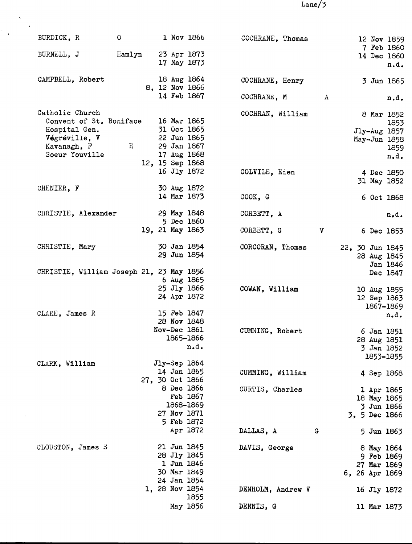$Lane/3$ 

| BURDICK, R<br>$\overline{\phantom{0}}$                                                                        |                                        |                                                                             | 1 Nov 1866            | COCHRANE, Thomas  |              | 12 Nov 1859                                               |                          |
|---------------------------------------------------------------------------------------------------------------|----------------------------------------|-----------------------------------------------------------------------------|-----------------------|-------------------|--------------|-----------------------------------------------------------|--------------------------|
| Hamlyn<br>BURNELL, J                                                                                          |                                        | 23 Apr 1873<br>17 May 1873                                                  |                       |                   |              | 7 Feb 1860<br>14 Dec 1860                                 | n.d.                     |
| CAMPBELL, Robert                                                                                              |                                        | 18 Aug 1864<br>8, 12 Nov 1866<br>14 Feb 1867                                |                       | COCHRANE, Henry   |              | 3 Jun 1865                                                |                          |
|                                                                                                               |                                        |                                                                             |                       | COCHRANE, M       | $\mathbf{A}$ |                                                           | n.d.                     |
| Catholic Church<br>Convent of St. Boniface<br>Hospital Gen.<br>Végréville, V<br>Kavanagh, F<br>Soeur Youville | 22 Jun 1865<br>$\overline{\mathbf{H}}$ | 16 Mar 1865<br>31 Oct 1865<br>29 Jan 1867<br>17 Aug 1868<br>12, 15 Sep 1868 |                       | COCHRAN, William  |              | 8 Mar 1852<br>Jly-Aug 1857<br>May-Jun 1858                | 1853<br>1859<br>$n_*d_*$ |
|                                                                                                               |                                        | 16 Jly 1872                                                                 |                       | COLVILE, Eden     |              | 4 Dec 1850<br>31 May 1852                                 |                          |
| CHENIER, F                                                                                                    |                                        | 30 Aug 1872<br>14 Mar 1873                                                  |                       | COOK, G           |              | 6 Oct 1868                                                |                          |
| CHRISTIE, Alexander                                                                                           |                                        | 29 May 1848                                                                 |                       | CORBETT, A        |              |                                                           | $n_{\bullet}d_{\bullet}$ |
|                                                                                                               |                                        | 5 Dec 1860<br>19, 21 May 1863                                               |                       | CORBETT, G        | $\mathbf{v}$ | 6 Dec 1853                                                |                          |
| CHRISTIE, Mary                                                                                                |                                        | 30 Jan 1854<br>29 Jun 1854                                                  |                       | CORCORAN, Thomas  |              | 22, 30 Jun 1845<br>28 Aug 1845                            | Jan 1846                 |
| CHRISTIE, William Joseph 21, 23 May 1856<br>CLARE, James R                                                    |                                        | 6 Aug 1865<br>25 Jly 1866<br>24 Apr 1872<br>15 Feb 1847                     |                       | COWAN, William    |              | 10 Aug 1855<br>12 Sep 1863<br>1867-1869                   | Dec 1847<br>n.d.         |
|                                                                                                               |                                        | 28 Nov 1848<br>Nov-Dec 1861                                                 | 1865-1866<br>n.d.     | CUMMING, Robert   |              | 6 Jan 1851<br>28 Aug 1851<br>3 Jan 1852<br>1853-1855      |                          |
| CLARK, William                                                                                                |                                        | $Jly-Sep$ 1864<br>14 Jan 1865<br>27, 30 Oct 1866                            |                       | CUMMING, William  |              | 4 Sep 1868                                                |                          |
|                                                                                                               |                                        | 8 Dec 1866<br>27 Nov 1871<br>5 Feb 1872                                     | Feb 1867<br>1868-1869 | CURTIS, Charles   |              | 1 Apr 1865<br>18 May 1865<br>3 Jun 1866<br>3, 5 Dec 1866  |                          |
|                                                                                                               |                                        |                                                                             | Apr 1872              | DALLAS, A         | G            | 5 Jun 1863                                                |                          |
| CLOUSTON, James S                                                                                             |                                        | 21 Jun 1845<br>28 Jly 1845<br>1 Jun 1846<br>30 Mar 1849<br>24 Jan 1854      |                       | DAVIS, George     |              | 8 May 1864<br>9 Feb 1869<br>27 Mar 1869<br>6, 26 Apr 1869 |                          |
|                                                                                                               |                                        | 1, 28 Nov 1854                                                              | 1855                  | DENHOLM, Andrew V |              | 16 Jly 1872                                               |                          |
|                                                                                                               |                                        |                                                                             | May 1856              | DENNIS, G         |              | 11 Mar 1873                                               |                          |

 $\frac{1}{2} \frac{1}{2} \frac{1}{2} \frac{1}{2} \frac{1}{2}$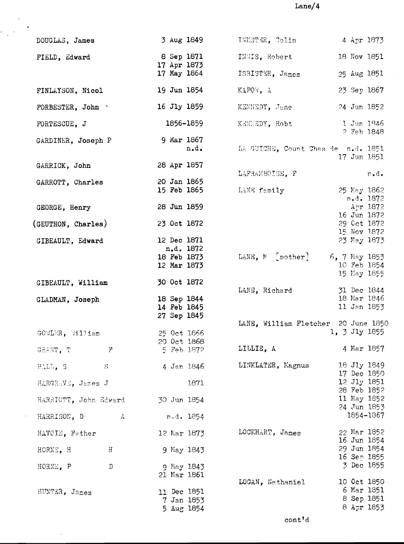$\mbox{Lane}/4$ 

 $\hat{\mathcal{A}}$ 

| DOUGLAS, James               | 3 Aug 1849                 | INKSTER, Colin                      | 4 Apr 1873                 |      |
|------------------------------|----------------------------|-------------------------------------|----------------------------|------|
| FIELD, Edward                | 8 Sep 1871<br>17 Apr 1873  | INNIS, Robert                       | 18 Nov 1851                |      |
|                              | 17 May 1864                | ISBISTER, James                     | 25 Aug 1851                |      |
| FINLAYSON, Nicol             | 19 Jun 1854                | KAPOW, A                            | 23 Sep 1867                |      |
| FORBESTER, John              | 16 Jly 1859                | KENNEDY, Jane                       | 24 Jun 1852                |      |
| FORTESCUE, J                 | 1856-1859                  | KENEEDY, Robt                       | 1 Jun 1846<br>2 Feb 1848   |      |
| GARDINER, Joseph P           | 9 Mar 1867<br>n.d.         | LA GUICHE, Count Chas de n.d. 1851  |                            |      |
| GARRICK, John                | 28 Apr 1857                |                                     | 17 Jun 1851                |      |
| GARROTT, Charles             | 20 Jan 1865                | LAFRAMBOISE, F                      |                            | n.d. |
|                              | 15 Feb 1865                | LANE family                         | 25 May 1862<br>n.d. 1872   |      |
| GEORGE, Henry                | 28 Jun 1859                |                                     | Apr 1872<br>16 Jun 1872    |      |
| (GEUTHON, Charles)           | 23 Oct 1872                |                                     | 29 Oct 1872                |      |
| GIBEAULT, Edward             | 12 Dec 1871                |                                     | 15 Nov 1872<br>23 May 1873 |      |
|                              | n.d. 1872<br>18 Feb 1873   | LANE, M [mother]                    | 6, 7 May 1853              |      |
| $\sim 10^{-1}$               | 12 Mar 1873                |                                     | 10 Feb 1854<br>15 May 1855 |      |
| GIBEAULT, William            | 30 Oct 1872                | LANE, Richard                       | 31 Dec 1844                |      |
| GLADMAN, Joseph              | 18 Sep 1844                |                                     | 18 Mar 1846                |      |
|                              | 14 Feb 1845<br>27 Sep 1845 |                                     | 11 Jan 1853                |      |
|                              |                            | LANE, William Fletcher 20 June 1850 |                            |      |
| GOWLER, William              | 25 Oct 1866<br>20 Oct 1868 |                                     | 1, 3 Jly 1855              |      |
| $\boldsymbol{r}$<br>GRANT, T | 5 Feb 1872                 | LILLIE, A                           | 4 Mar 1857                 |      |
| S<br>HALL, S                 | 4 Jan 1846                 | LINKLATER, Magnus                   | 18 Jly 1849<br>17 Dec 1850 |      |
| HARGRAVE, James J            | 1871                       |                                     | 12 Jly 1851                |      |
| HARRIOTT, John Edward        | 30 Jun 1854                |                                     | 28 Feb 1852<br>11 May 1852 |      |
|                              |                            |                                     | 24 Jun 1853<br>1854-1867   |      |
| A<br>HARRISON, D             | n.d. 1854                  |                                     |                            |      |
| HAVOIE, Father               | 12 Mar 1873                | LOCKHART, James                     | 22 Mar 1852<br>16 Jun 1854 |      |
| H<br>HORNE, H                | 9 May 1843                 |                                     | 29 Jun 1854                |      |
| $\mathbb D$<br>HORNE, P      | g May 1843                 |                                     | 16 Sep 1855<br>3 Dec 1855  |      |
|                              | 21 Mar 1861                |                                     |                            |      |
| HUNTER, James                | 11 Dec 1851                | LOGAN, Nathaniel                    | 10 Oct 1850<br>6 Mar 1851  |      |
|                              | 7 Jan 1853                 |                                     | 8 Sep 1851                 |      |
|                              | 5 Aug 1854                 |                                     | 8 Apr 1853                 |      |

 $\frac{1}{2}$ 

 $\langle \rangle$ 

 $\ddot{\phantom{0}}$ 

 $\ddot{\phantom{0}}$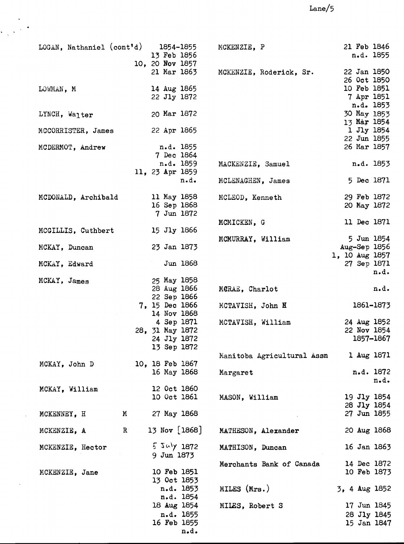# $\mathtt{Lane}/5$

| LOGAN, Nathaniel (cont'd) |                      | 1854–1855<br>13 Feb 1856<br>10, 20 Nov 1857 | MCKENZIE, P                | 21 Feb 1846<br>n.d. 1855               |
|---------------------------|----------------------|---------------------------------------------|----------------------------|----------------------------------------|
|                           |                      | 21 Mar 1863                                 | MCKENZIE, Roderick, Sr.    | 22 Jan 1850<br>26 Oct 1850             |
| LOWMAN, M                 |                      | 14 Aug 1865<br>22 Jly 1872                  |                            | 10 Feb 1851<br>7 Apr 1851<br>n.d. 1853 |
| LYNCH, Walter             |                      | 20 Mar 1872                                 |                            | 30 May 1853<br>13 Mar 1854             |
| MCCORRISTER, James        |                      | 22 Apr 1865                                 |                            | 1 Jly 1854<br>22 Jun 1855              |
| MCDERMOT, Andrew          |                      | n.d. 1855<br>7 Dec 1864                     |                            | 26 Mar 1857                            |
|                           |                      | n.d. 1859                                   | MACKENZIE, Samuel          | n.d. 1853                              |
|                           |                      | 11, 23 Apr 1859                             |                            |                                        |
|                           |                      | n.d.                                        | MCLENAGHEN, James          | 5 Dec 1871                             |
| MCDONALD, Archibald       |                      | 11 May 1858                                 | MCLEOD, Kenneth            | 29 Feb 1872                            |
|                           |                      | 16 Sep 1868                                 |                            | 20 May 1872                            |
|                           |                      | 7 Jun 1872                                  |                            |                                        |
|                           |                      |                                             | MCMICKEN, G                | 11 Dec 1871                            |
| MCGILLIS, Cuthbert        |                      | 15 Jly 1866                                 |                            |                                        |
|                           |                      |                                             | MCMURRAY, William          | 5 Jun 1854                             |
| MCKAY, Duncan             |                      | 23 Jan 1873                                 |                            | Aug-Sep 1856<br>1, 10 Aug 1857         |
| MCKAY, Edward             |                      | Jun 1868                                    |                            | 27 Sep 1871<br>n.d.                    |
| MCKAY, James              |                      | 25 May 1858                                 |                            |                                        |
|                           |                      | 28 Aug 1866                                 | MCRAE, Charlot             | n.d.                                   |
|                           |                      | 22 Sep 1866                                 |                            |                                        |
|                           |                      | 7, 15 Dec 1866                              | MCTAVISH, John H           | 1861-1873                              |
|                           |                      | 14 Nov 1868                                 |                            |                                        |
|                           |                      | 4 Sep 1871                                  | MCTAVISH, William          | 24 Aug 1852                            |
|                           |                      | 28, 31 May 1872                             |                            | 22 Nov 1854                            |
|                           |                      | 24 Jly 1872                                 |                            | 1857-1867                              |
|                           |                      | 13 Sep 1872                                 | Manitoba Agricultural Assn | 1 Aug 1871                             |
| MCKAY, John D             |                      | 10, 18 Feb 1867                             |                            |                                        |
|                           |                      | 16 May 1868                                 | Margaret                   | n.d. 1872                              |
|                           |                      |                                             |                            | $n \cdot d \cdot$                      |
| MCKAY, William            |                      | 12 Oct 1860                                 |                            |                                        |
|                           |                      | 10 Oct 1861                                 | MASON, William             | 19 Jly 1854                            |
|                           |                      |                                             |                            | 28 Jly 1854                            |
| MCKENNEY, H               | M                    | 27 May 1868                                 |                            | 27 Jun 1855                            |
| MCKENZIE, A               | $\mathbf{R}^{\circ}$ | 13 Nov $[1868]$                             | MATHESON, Alexander        | 20 Aug 1868                            |
| MCKENZIE, Hector          |                      | $22\pi y$ 1872<br>9 Jun 1873                | MATHISON, Duncan           | 16 Jan 1863                            |
|                           |                      |                                             | Merchants Bank of Canada   | 14 Dec 1872                            |
| MCKENZIE, Jane            |                      | 10 Feb 1851                                 |                            | 10 Feb 1873                            |
|                           |                      | 13 Oct 1853                                 |                            |                                        |
|                           |                      | n.d. 1853                                   | MILES (Mrs.)               | 3, 4 Aug 1852                          |
|                           |                      | n.d. 1854                                   |                            |                                        |
|                           |                      | 18 Aug 1854                                 | MILES, Robert S            | 17 Jun 1845                            |
|                           |                      | n.d. 1855                                   |                            | 28 Jly 1845                            |
|                           |                      | 16 Feb 1855                                 |                            | 15 Jan 1847                            |
|                           |                      | n.d.                                        |                            |                                        |

 $\begin{array}{c} \mathbf{y} \\ \mathbf{y} \\ \mathbf{y} \end{array}$ 

 $\ddot{\phantom{a}}$ 

 $\bar{\star}$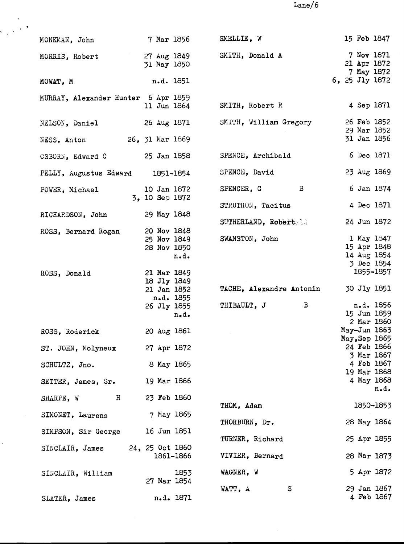$Lane/6$ 

| MONKMAN, John                       | 7 Mar 1856                    | SMELLIE, W               | 15 Feb 1847                             |
|-------------------------------------|-------------------------------|--------------------------|-----------------------------------------|
| MORRIS, Robert                      | 27 Aug 1849<br>31 May 1850    | SMITH, Donald A          | 7 Nov 1871<br>21 Apr 1872<br>7 May 1872 |
| MOWAT, M                            | n.d. 1851                     |                          | 6, 25 Jly 1872                          |
| MURRAY, Alexander Hunter 6 Apr 1859 | 11 Jun 1864                   | SMITH, Robert R          | 4 Sep 1871                              |
| NELSON, Daniel                      | 26 Aug 1871                   | SMITH, William Gregory   | 26 Feb 1852<br>29 Mar 1852              |
| NESS, Anton                         | 26, 31 Mar 1869               |                          | 31 Jan 1856                             |
| OSBORN, Edward C                    | 25 Jan 1858                   | SPENCE, Archibald        | 6 Dec 1871                              |
| PELLY, Augustus Edward 1851-1854    |                               | SPENCE, David            | 23 Aug 1869                             |
| POWER, Michael                      | 10 Jan 1872<br>3, 10 Sep 1872 | SPENCER, G B             | 6 Jan 1874                              |
| RICHARDSON, John                    | 29 May 1848                   | STRUTHON, Tacitus        | 4 Dec 1871                              |
| ROSS, Bernard Rogan                 | 20 Nov 1848                   | SUTHERLAND, Robertald    | 24 Jun 1872                             |
|                                     | 25 Nov 1849                   | SWANSTON, John           | 1 May 1847<br>15 Apr 1848               |
|                                     | 28 Nov 1850<br>n.d.           |                          | 14 Aug 1854                             |
|                                     |                               |                          | 3 Dec 1854                              |
| ROSS, Donald                        | 21 Mar 1849                   |                          | 1855-1857                               |
|                                     | 18 Jly 1849                   |                          |                                         |
|                                     | 21 Jan 1852                   | TACHE, Alexandre Antonin | 30 Jly 1851                             |
|                                     | n.d. 1855                     | B                        | n.d. 1856                               |
|                                     | 26 Jly 1855                   | THIBAULT, J              | 15 Jun 1859                             |
|                                     | n.d.                          |                          | 2 Mar 1860                              |
| ROSS, Roderick                      | 20 Aug 1861                   |                          | May-Jun 1863                            |
|                                     |                               |                          | May, Sep 1865                           |
| ST. JOHN, Molyneux                  | 27 Apr 1872                   |                          | 24 Feb 1866                             |
|                                     |                               |                          | 3 Mar 1867                              |
| SCHULTZ, Jno.                       | 8 May 1865                    |                          | 4 Feb 1867                              |
|                                     |                               |                          | 19 Mar 1868                             |
| SETTER, James, Sr.                  | 19 Mar 1866                   |                          | 4 May 1868<br>n.d.                      |
| H<br>SHARPE, W                      | 23 Feb 1860                   | THOM, Adam               | 1850-1853                               |
| SIMONET, Laurens                    | 7 May 1865                    | THORBURN, Dr.            | 28 May 1864                             |
| SIMPSON, Sir George 16 Jun 1851     |                               | TURNER, Richard          | 25 Apr 1855                             |
| SINCLAIR, James 24, 25 Oct 1860     | 1861–1866                     | VIVIER, Bernard          | 28 Mar 1873                             |
|                                     |                               |                          |                                         |
| SINCLAIR, William                   | 1853<br>27 Mar 1854           | WAGNER, W                | 5 Apr 1872                              |
| SLATER, James                       | n.d. 1871                     | WATT, A<br>S             | 29 Jan 1867<br>4 Feb 1867               |

 $\mathcal{L}_{\text{max}}$ 

 $\ddot{\phantom{a}}$ 

 $\hat{\vec{r}}$